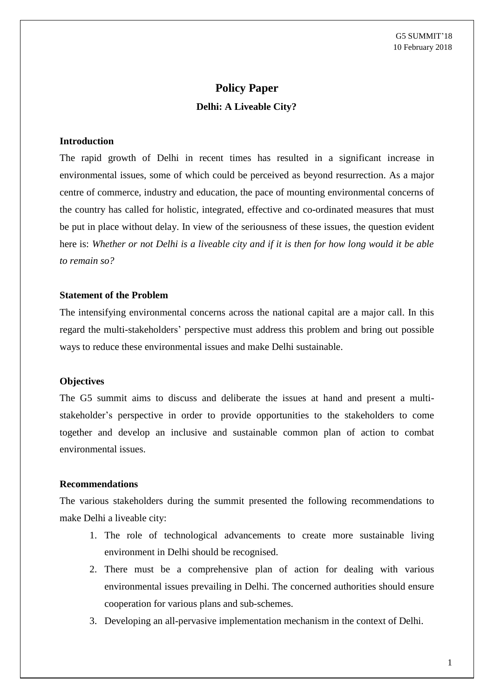# **Policy Paper Delhi: A Liveable City?**

#### **Introduction**

The rapid growth of Delhi in recent times has resulted in a significant increase in environmental issues, some of which could be perceived as beyond resurrection. As a major centre of commerce, industry and education, the pace of mounting environmental concerns of the country has called for holistic, integrated, effective and co-ordinated measures that must be put in place without delay. In view of the seriousness of these issues, the question evident here is: *Whether or not Delhi is a liveable city and if it is then for how long would it be able to remain so?*

#### **Statement of the Problem**

The intensifying environmental concerns across the national capital are a major call. In this regard the multi-stakeholders' perspective must address this problem and bring out possible ways to reduce these environmental issues and make Delhi sustainable.

## **Objectives**

The G5 summit aims to discuss and deliberate the issues at hand and present a multistakeholder's perspective in order to provide opportunities to the stakeholders to come together and develop an inclusive and sustainable common plan of action to combat environmental issues.

### **Recommendations**

The various stakeholders during the summit presented the following recommendations to make Delhi a liveable city:

- 1. The role of technological advancements to create more sustainable living environment in Delhi should be recognised.
- 2. There must be a comprehensive plan of action for dealing with various environmental issues prevailing in Delhi. The concerned authorities should ensure cooperation for various plans and sub-schemes.
- 3. Developing an all-pervasive implementation mechanism in the context of Delhi.